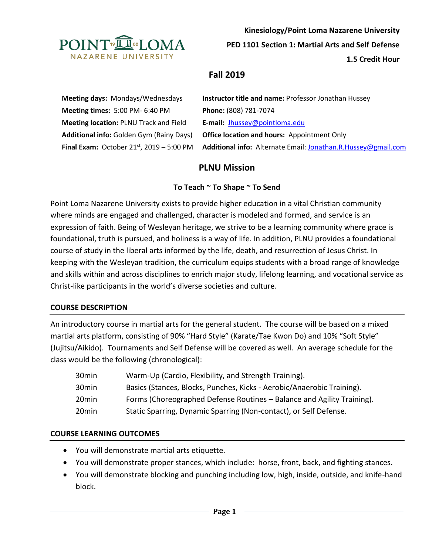

**Kinesiology/Point Loma Nazarene University**

**PED 1101 Section 1: Martial Arts and Self Defense**

**1.5 Credit Hour**

# **Fall 2019**

**Meeting days:** Mondays/Wednesdays **Instructor title and name:** Professor Jonathan Hussey **Meeting times:** 5:00 PM- 6:40 PM **Phone:** (808) 781-7074 **Meeting location:** PLNU Track and Field **E-mail:** [Jhussey@pointloma.edu](mailto:Jhussey@pointloma.edu) **Additional info:** Golden Gym (Rainy Days) **Office location and hours:** Appointment Only **Final Exam:** October 21st, 2019 – 5:00 PM **Additional info:** Alternate Email[: Jonathan.R.Hussey@gmail.com](mailto:Jonathan.R.Hussey@gmail.com)

# **PLNU Mission**

## **To Teach ~ To Shape ~ To Send**

Point Loma Nazarene University exists to provide higher education in a vital Christian community where minds are engaged and challenged, character is modeled and formed, and service is an expression of faith. Being of Wesleyan heritage, we strive to be a learning community where grace is foundational, truth is pursued, and holiness is a way of life. In addition, PLNU provides a foundational course of study in the liberal arts informed by the life, death, and resurrection of Jesus Christ. In keeping with the Wesleyan tradition, the curriculum equips students with a broad range of knowledge and skills within and across disciplines to enrich major study, lifelong learning, and vocational service as Christ-like participants in the world's diverse societies and culture.

### **COURSE DESCRIPTION**

An introductory course in martial arts for the general student. The course will be based on a mixed martial arts platform, consisting of 90% "Hard Style" (Karate/Tae Kwon Do) and 10% "Soft Style" (Jujitsu/Aikido). Tournaments and Self Defense will be covered as well. An average schedule for the class would be the following (chronological):

| 30min | Warm-Up (Cardio, Flexibility, and Strength Training).                  |
|-------|------------------------------------------------------------------------|
| 30min | Basics (Stances, Blocks, Punches, Kicks - Aerobic/Anaerobic Training). |
| 20min | Forms (Choreographed Defense Routines – Balance and Agility Training). |
| 20min | Static Sparring, Dynamic Sparring (Non-contact), or Self Defense.      |

### **COURSE LEARNING OUTCOMES**

- You will demonstrate martial arts etiquette.
- You will demonstrate proper stances, which include: horse, front, back, and fighting stances.
- You will demonstrate blocking and punching including low, high, inside, outside, and knife-hand block.

**Page 1**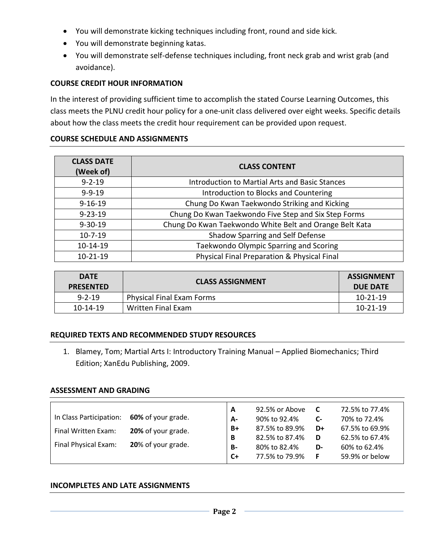- You will demonstrate kicking techniques including front, round and side kick.
- You will demonstrate beginning katas.
- You will demonstrate self-defense techniques including, front neck grab and wrist grab (and avoidance).

### **COURSE CREDIT HOUR INFORMATION**

In the interest of providing sufficient time to accomplish the stated Course Learning Outcomes, this class meets the PLNU credit hour policy for a one-unit class delivered over eight weeks. Specific details about how the class meets the credit hour requirement can be provided upon request.

### **COURSE SCHEDULE AND ASSIGNMENTS**

| <b>CLASS DATE</b><br>(Week of) | <b>CLASS CONTENT</b>                                    |
|--------------------------------|---------------------------------------------------------|
| $9 - 2 - 19$                   | <b>Introduction to Martial Arts and Basic Stances</b>   |
| $9 - 9 - 19$                   | Introduction to Blocks and Countering                   |
| $9 - 16 - 19$                  | Chung Do Kwan Taekwondo Striking and Kicking            |
| $9 - 23 - 19$                  | Chung Do Kwan Taekwondo Five Step and Six Step Forms    |
| $9 - 30 - 19$                  | Chung Do Kwan Taekwondo White Belt and Orange Belt Kata |
| $10-7-19$                      | Shadow Sparring and Self Defense                        |
| 10-14-19                       | Taekwondo Olympic Sparring and Scoring                  |
| $10-21-19$                     | Physical Final Preparation & Physical Final             |

| <b>DATF</b><br><b>PRESENTED</b> | <b>CLASS ASSIGNMENT</b>          | <b>ASSIGNMENT</b><br><b>DUE DATE</b> |
|---------------------------------|----------------------------------|--------------------------------------|
| $9 - 2 - 19$                    | <b>Physical Final Exam Forms</b> | $10 - 21 - 19$                       |
| $10 - 14 - 19$                  | Written Final Exam               | $10 - 21 - 19$                       |

#### **REQUIRED TEXTS AND RECOMMENDED STUDY RESOURCES**

1. Blamey, Tom; Martial Arts I: Introductory Training Manual – Applied Biomechanics; Third Edition; XanEdu Publishing, 2009.

#### **ASSESSMENT AND GRADING**

| In Class Participation:<br>Final Written Exam:<br>Final Physical Exam: | 60% of your grade.<br>20% of your grade.<br>20% of your grade. | A<br>A-<br>$B+$<br>В | 92.5% or Above<br>90% to 92.4%<br>87.5% to 89.9%<br>82.5% to 87.4% | <b>C</b><br><b>C-</b><br>D+<br>D | 72.5% to 77.4%<br>70% to 72.4%<br>67.5% to 69.9%<br>62.5% to 67.4% |
|------------------------------------------------------------------------|----------------------------------------------------------------|----------------------|--------------------------------------------------------------------|----------------------------------|--------------------------------------------------------------------|
|                                                                        |                                                                | <b>B-</b>            | 80% to 82.4%                                                       | D-                               | 60% to 62.4%                                                       |
|                                                                        |                                                                | C+                   | 77.5% to 79.9%                                                     | -F                               | 59.9% or below                                                     |

#### **INCOMPLETES AND LATE ASSIGNMENTS**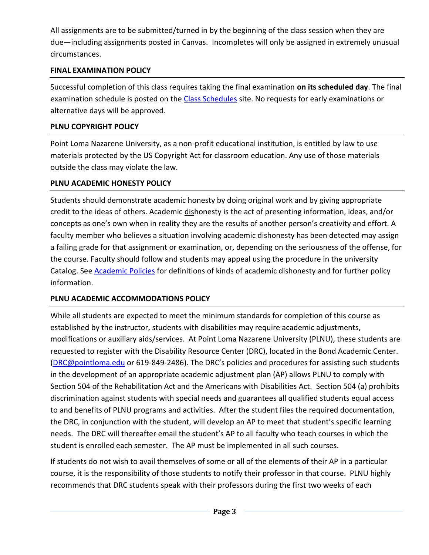All assignments are to be submitted/turned in by the beginning of the class session when they are due—including assignments posted in Canvas. Incompletes will only be assigned in extremely unusual circumstances.

## **FINAL EXAMINATION POLICY**

Successful completion of this class requires taking the final examination **on its scheduled day**. The final examination schedule is posted on the [Class Schedules](http://www.pointloma.edu/experience/academics/class-schedules) site. No requests for early examinations or alternative days will be approved.

## **PLNU COPYRIGHT POLICY**

Point Loma Nazarene University, as a non-profit educational institution, is entitled by law to use materials protected by the US Copyright Act for classroom education. Any use of those materials outside the class may violate the law.

## **PLNU ACADEMIC HONESTY POLICY**

Students should demonstrate academic honesty by doing original work and by giving appropriate credit to the ideas of others. Academic dishonesty is the act of presenting information, ideas, and/or concepts as one's own when in reality they are the results of another person's creativity and effort. A faculty member who believes a situation involving academic dishonesty has been detected may assign a failing grade for that assignment or examination, or, depending on the seriousness of the offense, for the course. Faculty should follow and students may appeal using the procedure in the university Catalog. See **Academic Policies** for definitions of kinds of academic dishonesty and for further policy information.

# **PLNU ACADEMIC ACCOMMODATIONS POLICY**

While all students are expected to meet the minimum standards for completion of this course as established by the instructor, students with disabilities may require academic adjustments, modifications or auxiliary aids/services. At Point Loma Nazarene University (PLNU), these students are requested to register with the Disability Resource Center (DRC), located in the Bond Academic Center. [\(DRC@pointloma.edu](mailto:DRC@pointloma.edu) or 619-849-2486). The DRC's policies and procedures for assisting such students in the development of an appropriate academic adjustment plan (AP) allows PLNU to comply with Section 504 of the Rehabilitation Act and the Americans with Disabilities Act. Section 504 (a) prohibits discrimination against students with special needs and guarantees all qualified students equal access to and benefits of PLNU programs and activities. After the student files the required documentation, the DRC, in conjunction with the student, will develop an AP to meet that student's specific learning needs. The DRC will thereafter email the student's AP to all faculty who teach courses in which the student is enrolled each semester. The AP must be implemented in all such courses.

If students do not wish to avail themselves of some or all of the elements of their AP in a particular course, it is the responsibility of those students to notify their professor in that course. PLNU highly recommends that DRC students speak with their professors during the first two weeks of each